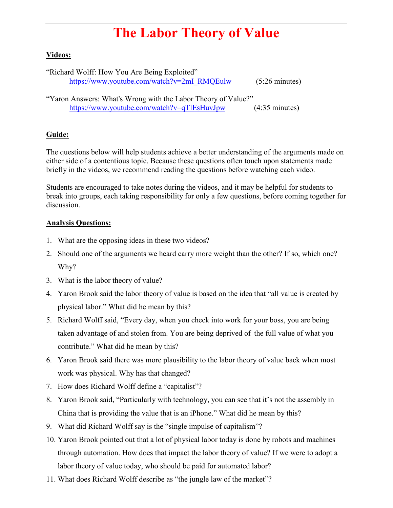## **The Labor Theory of Value**

## **Videos:**

"Richard Wolff: How You Are Being Exploited" [https://www.youtube.com/watch?v=2mI\\_RMQEulw](https://www.youtube.com/watch?v=2mI_RMQEulw) (5:26 minutes)

"Yaron Answers: What's Wrong with the Labor Theory of Value?" <https://www.youtube.com/watch?v=qTlEsHuvJpw> (4:35 minutes)

## **Guide:**

The questions below will help students achieve a better understanding of the arguments made on either side of a contentious topic. Because these questions often touch upon statements made briefly in the videos, we recommend reading the questions before watching each video.

Students are encouraged to take notes during the videos, and it may be helpful for students to break into groups, each taking responsibility for only a few questions, before coming together for discussion.

## **Analysis Questions:**

- 1. What are the opposing ideas in these two videos?
- 2. Should one of the arguments we heard carry more weight than the other? If so, which one? Why?
- 3. What is the labor theory of value?
- 4. Yaron Brook said the labor theory of value is based on the idea that "all value is created by physical labor." What did he mean by this?
- 5. Richard Wolff said, "Every day, when you check into work for your boss, you are being taken advantage of and stolen from. You are being deprived of the full value of what you contribute." What did he mean by this?
- 6. Yaron Brook said there was more plausibility to the labor theory of value back when most work was physical. Why has that changed?
- 7. How does Richard Wolff define a "capitalist"?
- 8. Yaron Brook said, "Particularly with technology, you can see that it's not the assembly in China that is providing the value that is an iPhone." What did he mean by this?
- 9. What did Richard Wolff say is the "single impulse of capitalism"?
- 10. Yaron Brook pointed out that a lot of physical labor today is done by robots and machines through automation. How does that impact the labor theory of value? If we were to adopt a labor theory of value today, who should be paid for automated labor?
- 11. What does Richard Wolff describe as "the jungle law of the market"?